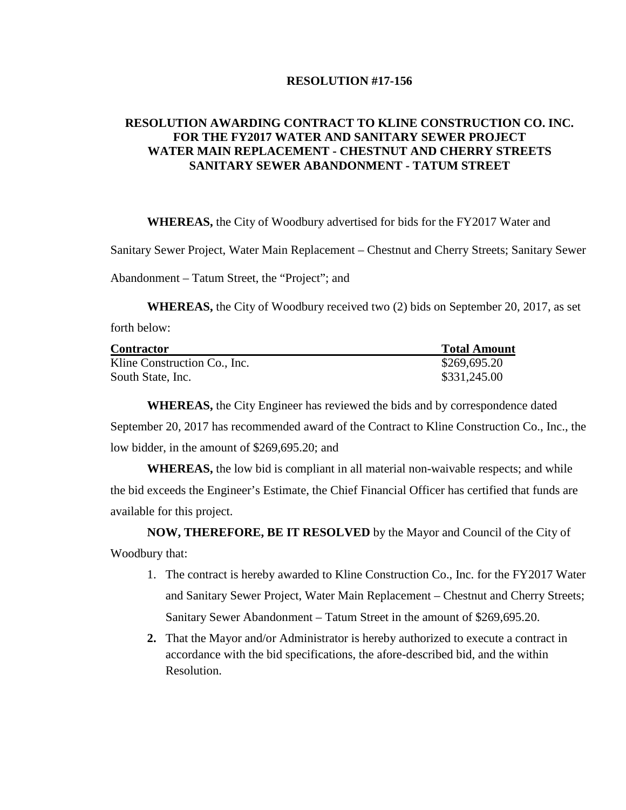## **RESOLUTION #17-156**

## **RESOLUTION AWARDING CONTRACT TO KLINE CONSTRUCTION CO. INC. FOR THE FY2017 WATER AND SANITARY SEWER PROJECT WATER MAIN REPLACEMENT - CHESTNUT AND CHERRY STREETS SANITARY SEWER ABANDONMENT - TATUM STREET**

**WHEREAS,** the City of Woodbury advertised for bids for the FY2017 Water and

Sanitary Sewer Project, Water Main Replacement – Chestnut and Cherry Streets; Sanitary Sewer

Abandonment – Tatum Street, the "Project"; and

**WHEREAS,** the City of Woodbury received two (2) bids on September 20, 2017, as set forth below:

| <b>Contractor</b>            | <b>Total Amount</b> |
|------------------------------|---------------------|
| Kline Construction Co., Inc. | \$269,695.20        |
| South State, Inc.            | \$331,245.00        |

**WHEREAS,** the City Engineer has reviewed the bids and by correspondence dated September 20, 2017 has recommended award of the Contract to Kline Construction Co., Inc., the low bidder, in the amount of \$269,695.20; and

**WHEREAS,** the low bid is compliant in all material non-waivable respects; and while the bid exceeds the Engineer's Estimate, the Chief Financial Officer has certified that funds are available for this project.

**NOW, THEREFORE, BE IT RESOLVED** by the Mayor and Council of the City of Woodbury that:

- 1. The contract is hereby awarded to Kline Construction Co., Inc. for the FY2017 Water and Sanitary Sewer Project, Water Main Replacement – Chestnut and Cherry Streets; Sanitary Sewer Abandonment – Tatum Street in the amount of \$269,695.20.
- **2.** That the Mayor and/or Administrator is hereby authorized to execute a contract in accordance with the bid specifications, the afore-described bid, and the within Resolution.